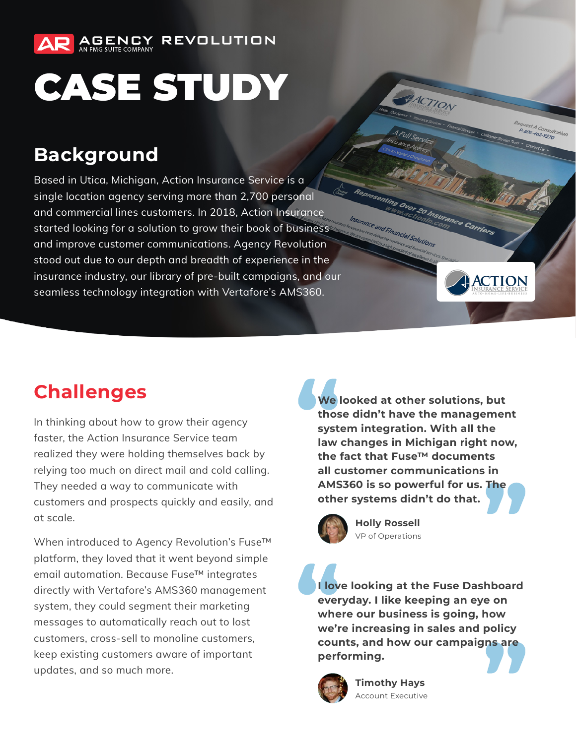

# CASE STUDY

## **Background**

Based in Utica, Michigan, Action Insurance Service is a single location agency serving more than 2,700 personal and commercial lines customers. In 2018, Action Insurance started looking for a solution to grow their book of business and improve customer communications. Agency Revolution stood out due to our depth and breadth of experience in the insurance industry, our library of pre-built campaigns, and our seamless technology integration with Vertafore's AMS360.

## **Challenges**

In thinking about how to grow their agency faster, the Action Insurance Service team realized they were holding themselves back by relying too much on direct mail and cold calling. They needed a way to communicate with customers and prospects quickly and easily, and at scale.

When introduced to Agency Revolution's Fuse™ platform, they loved that it went beyond simple email automation. Because Fuse™ integrates directly with Vertafore's AMS360 management system, they could segment their marketing messages to automatically reach out to lost customers, cross-sell to monoline customers, keep existing customers aware of important updates, and so much more.

**We looked at other solutions, but those didn't have the management system integration. With all the law changes in Michigan right now, the fact that Fuse™ documents all customer communications in AMS360 is so powerful for us. The other systems didn't do that.**

ACTION

mting Over 20 Insurance Carriers

**of Financial Solutions** 

quest A Consult.<br>P: 800-462-9270

**ACTION** 



**Holly Rossell** VP of Operations

**I love looking at the Fuse Dashboard everyday. I like keeping an eye on where our business is going, how we're increasing in sales and policy counts, and how our campaigns are performing.**



**Timothy Hays** Account Executive